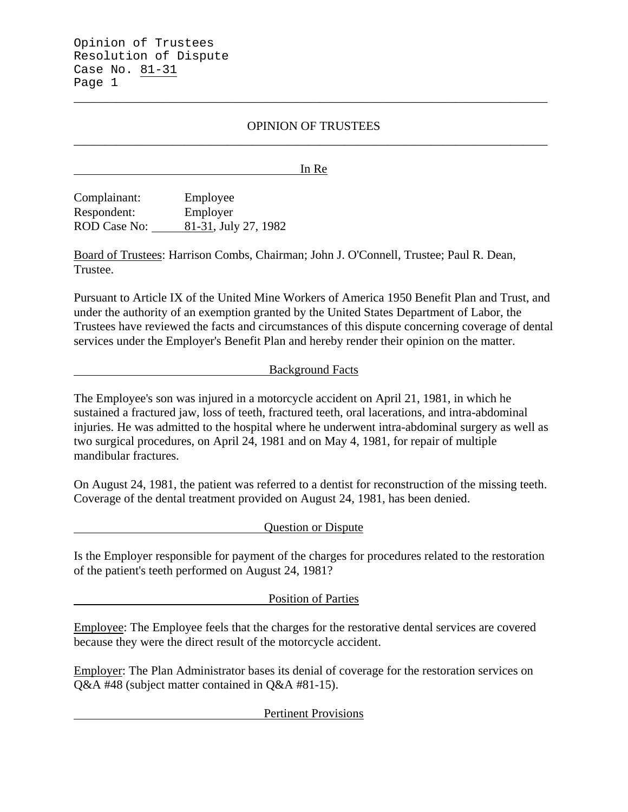Opinion of Trustees Resolution of Dispute Case No. 81-31 Page 1

# OPINION OF TRUSTEES \_\_\_\_\_\_\_\_\_\_\_\_\_\_\_\_\_\_\_\_\_\_\_\_\_\_\_\_\_\_\_\_\_\_\_\_\_\_\_\_\_\_\_\_\_\_\_\_\_\_\_\_\_\_\_\_\_\_\_\_\_\_\_\_\_\_\_\_\_\_\_\_\_\_\_\_\_

\_\_\_\_\_\_\_\_\_\_\_\_\_\_\_\_\_\_\_\_\_\_\_\_\_\_\_\_\_\_\_\_\_\_\_\_\_\_\_\_\_\_\_\_\_\_\_\_\_\_\_\_\_\_\_\_\_\_\_\_\_\_\_\_\_\_\_\_\_\_\_\_\_\_\_\_\_

In Re

Complainant: Employee Respondent: Employer ROD Case No: 81-31, July 27, 1982

Board of Trustees: Harrison Combs, Chairman; John J. O'Connell, Trustee; Paul R. Dean, Trustee.

Pursuant to Article IX of the United Mine Workers of America 1950 Benefit Plan and Trust, and under the authority of an exemption granted by the United States Department of Labor, the Trustees have reviewed the facts and circumstances of this dispute concerning coverage of dental services under the Employer's Benefit Plan and hereby render their opinion on the matter.

### Background Facts

The Employee's son was injured in a motorcycle accident on April 21, 1981, in which he sustained a fractured jaw, loss of teeth, fractured teeth, oral lacerations, and intra-abdominal injuries. He was admitted to the hospital where he underwent intra-abdominal surgery as well as two surgical procedures, on April 24, 1981 and on May 4, 1981, for repair of multiple mandibular fractures.

On August 24, 1981, the patient was referred to a dentist for reconstruction of the missing teeth. Coverage of the dental treatment provided on August 24, 1981, has been denied.

Question or Dispute

Is the Employer responsible for payment of the charges for procedures related to the restoration of the patient's teeth performed on August 24, 1981?

Position of Parties

Employee: The Employee feels that the charges for the restorative dental services are covered because they were the direct result of the motorcycle accident.

Employer: The Plan Administrator bases its denial of coverage for the restoration services on Q&A #48 (subject matter contained in Q&A #81-15).

Pertinent Provisions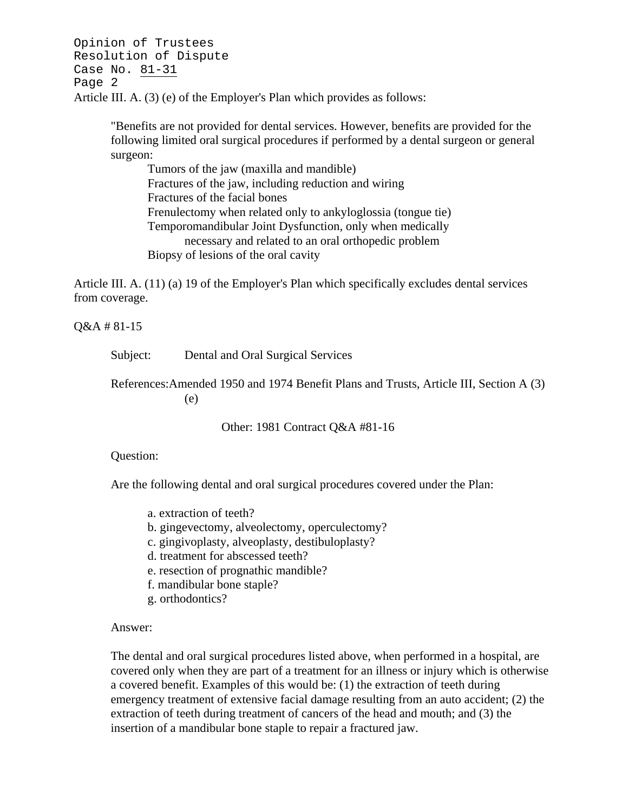Opinion of Trustees Resolution of Dispute Case No. 81-31 Page 2 Article III. A. (3) (e) of the Employer's Plan which provides as follows:

> "Benefits are not provided for dental services. However, benefits are provided for the following limited oral surgical procedures if performed by a dental surgeon or general surgeon:

Tumors of the jaw (maxilla and mandible) Fractures of the jaw, including reduction and wiring Fractures of the facial bones Frenulectomy when related only to ankyloglossia (tongue tie) Temporomandibular Joint Dysfunction, only when medically necessary and related to an oral orthopedic problem Biopsy of lesions of the oral cavity

Article III. A. (11) (a) 19 of the Employer's Plan which specifically excludes dental services from coverage.

Q&A # 81-15

Subject: Dental and Oral Surgical Services

References:Amended 1950 and 1974 Benefit Plans and Trusts, Article III, Section A (3) (e)

Other: 1981 Contract Q&A #81-16

#### Question:

Are the following dental and oral surgical procedures covered under the Plan:

- a. extraction of teeth?
- b. gingevectomy, alveolectomy, operculectomy?
- c. gingivoplasty, alveoplasty, destibuloplasty?
- d. treatment for abscessed teeth?
- e. resection of prognathic mandible?
- f. mandibular bone staple?
- g. orthodontics?

Answer:

The dental and oral surgical procedures listed above, when performed in a hospital, are covered only when they are part of a treatment for an illness or injury which is otherwise a covered benefit. Examples of this would be: (1) the extraction of teeth during emergency treatment of extensive facial damage resulting from an auto accident; (2) the extraction of teeth during treatment of cancers of the head and mouth; and (3) the insertion of a mandibular bone staple to repair a fractured jaw.